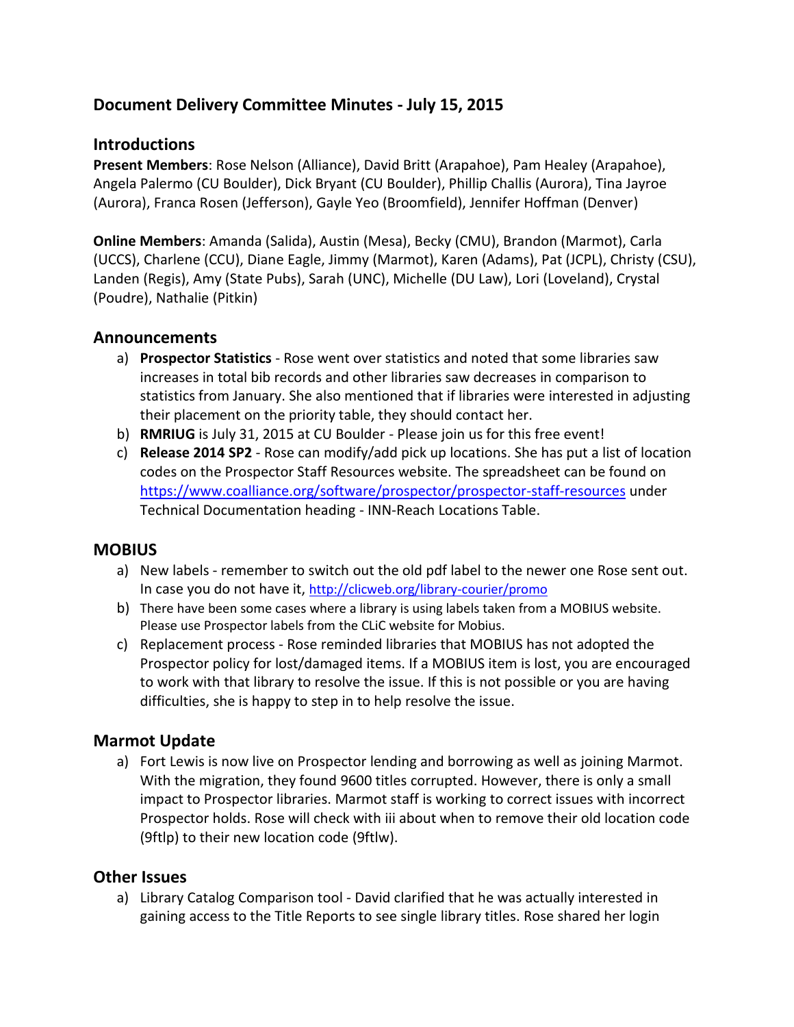# **Document Delivery Committee Minutes - July 15, 2015**

## **Introductions**

**Present Members**: Rose Nelson (Alliance), David Britt (Arapahoe), Pam Healey (Arapahoe), Angela Palermo (CU Boulder), Dick Bryant (CU Boulder), Phillip Challis (Aurora), Tina Jayroe (Aurora), Franca Rosen (Jefferson), Gayle Yeo (Broomfield), Jennifer Hoffman (Denver)

**Online Members**: Amanda (Salida), Austin (Mesa), Becky (CMU), Brandon (Marmot), Carla (UCCS), Charlene (CCU), Diane Eagle, Jimmy (Marmot), Karen (Adams), Pat (JCPL), Christy (CSU), Landen (Regis), Amy (State Pubs), Sarah (UNC), Michelle (DU Law), Lori (Loveland), Crystal (Poudre), Nathalie (Pitkin)

### **Announcements**

- a) **Prospector Statistics** Rose went over statistics and noted that some libraries saw increases in total bib records and other libraries saw decreases in comparison to statistics from January. She also mentioned that if libraries were interested in adjusting their placement on the priority table, they should contact her.
- b) **RMRIUG** is July 31, 2015 at CU Boulder Please join us for this free event!
- c) **Release 2014 SP2** Rose can modify/add pick up locations. She has put a list of location codes on the Prospector Staff Resources website. The spreadsheet can be found on <https://www.coalliance.org/software/prospector/prospector-staff-resources> under Technical Documentation heading - INN-Reach Locations Table.

### **MOBIUS**

- a) New labels remember to switch out the old pdf label to the newer one Rose sent out. In case you do not have it, <http://clicweb.org/library-courier/promo>
- b) There have been some cases where a library is using labels taken from a MOBIUS website. Please use Prospector labels from the CLiC website for Mobius.
- c) Replacement process Rose reminded libraries that MOBIUS has not adopted the Prospector policy for lost/damaged items. If a MOBIUS item is lost, you are encouraged to work with that library to resolve the issue. If this is not possible or you are having difficulties, she is happy to step in to help resolve the issue.

### **Marmot Update**

a) Fort Lewis is now live on Prospector lending and borrowing as well as joining Marmot. With the migration, they found 9600 titles corrupted. However, there is only a small impact to Prospector libraries. Marmot staff is working to correct issues with incorrect Prospector holds. Rose will check with iii about when to remove their old location code (9ftlp) to their new location code (9ftlw).

#### **Other Issues**

a) Library Catalog Comparison tool - David clarified that he was actually interested in gaining access to the Title Reports to see single library titles. Rose shared her login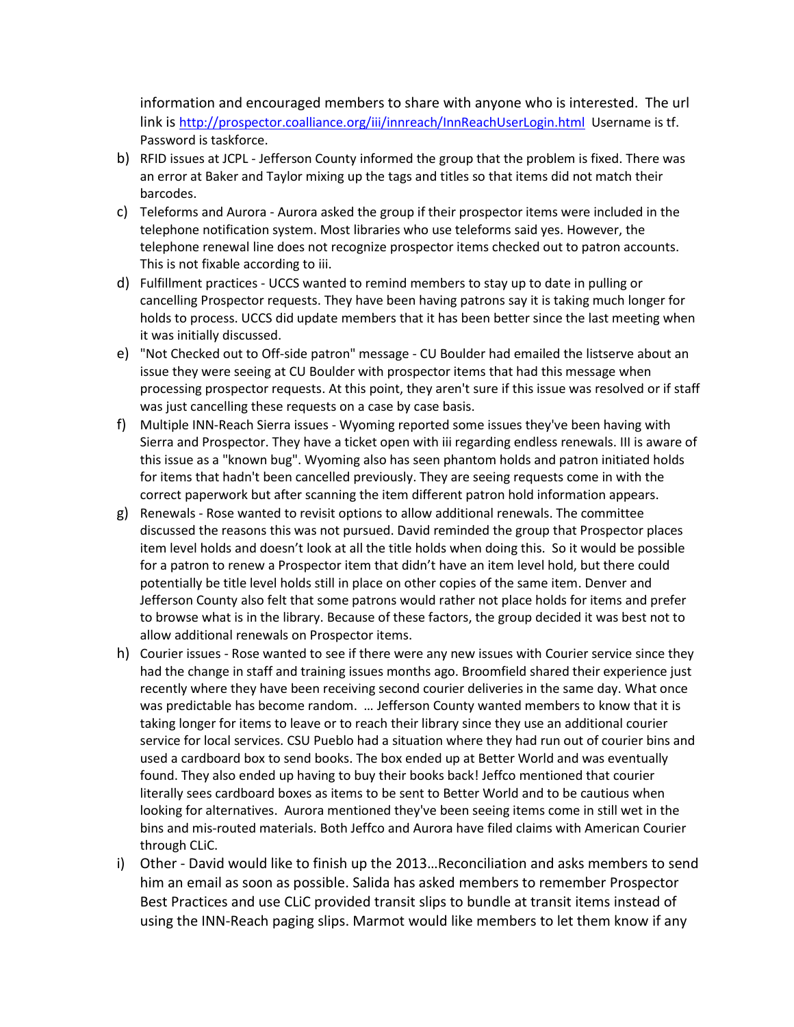information and encouraged members to share with anyone who is interested. The url link is <http://prospector.coalliance.org/iii/innreach/InnReachUserLogin.html>Username is tf. Password is taskforce.

- b) RFID issues at JCPL Jefferson County informed the group that the problem is fixed. There was an error at Baker and Taylor mixing up the tags and titles so that items did not match their barcodes.
- c) Teleforms and Aurora Aurora asked the group if their prospector items were included in the telephone notification system. Most libraries who use teleforms said yes. However, the telephone renewal line does not recognize prospector items checked out to patron accounts. This is not fixable according to iii.
- d) Fulfillment practices UCCS wanted to remind members to stay up to date in pulling or cancelling Prospector requests. They have been having patrons say it is taking much longer for holds to process. UCCS did update members that it has been better since the last meeting when it was initially discussed.
- e) "Not Checked out to Off-side patron" message CU Boulder had emailed the listserve about an issue they were seeing at CU Boulder with prospector items that had this message when processing prospector requests. At this point, they aren't sure if this issue was resolved or if staff was just cancelling these requests on a case by case basis.
- f) Multiple INN-Reach Sierra issues Wyoming reported some issues they've been having with Sierra and Prospector. They have a ticket open with iii regarding endless renewals. III is aware of this issue as a "known bug". Wyoming also has seen phantom holds and patron initiated holds for items that hadn't been cancelled previously. They are seeing requests come in with the correct paperwork but after scanning the item different patron hold information appears.
- g) Renewals Rose wanted to revisit options to allow additional renewals. The committee discussed the reasons this was not pursued. David reminded the group that Prospector places item level holds and doesn't look at all the title holds when doing this. So it would be possible for a patron to renew a Prospector item that didn't have an item level hold, but there could potentially be title level holds still in place on other copies of the same item. Denver and Jefferson County also felt that some patrons would rather not place holds for items and prefer to browse what is in the library. Because of these factors, the group decided it was best not to allow additional renewals on Prospector items.
- h) Courier issues Rose wanted to see if there were any new issues with Courier service since they had the change in staff and training issues months ago. Broomfield shared their experience just recently where they have been receiving second courier deliveries in the same day. What once was predictable has become random. … Jefferson County wanted members to know that it is taking longer for items to leave or to reach their library since they use an additional courier service for local services. CSU Pueblo had a situation where they had run out of courier bins and used a cardboard box to send books. The box ended up at Better World and was eventually found. They also ended up having to buy their books back! Jeffco mentioned that courier literally sees cardboard boxes as items to be sent to Better World and to be cautious when looking for alternatives. Aurora mentioned they've been seeing items come in still wet in the bins and mis-routed materials. Both Jeffco and Aurora have filed claims with American Courier through CLiC.
- i) Other David would like to finish up the 2013…Reconciliation and asks members to send him an email as soon as possible. Salida has asked members to remember Prospector Best Practices and use CLiC provided transit slips to bundle at transit items instead of using the INN-Reach paging slips. Marmot would like members to let them know if any